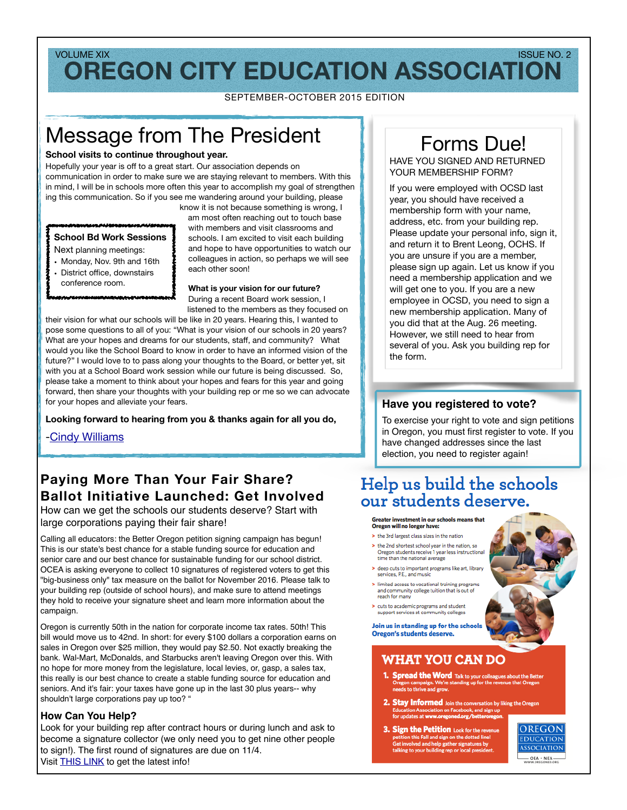## **OREGON CITY EDUCATION ASSOCIATION** VOLUME XIX ISSUE NO. 2

SEPTEMBER-OCTOBER 2015 EDITION

# Message from The President

#### **School visits to continue throughout year.**

Hopefully your year is off to a great start. Our association depends on communication in order to make sure we are staying relevant to members. With this in mind, I will be in schools more often this year to accomplish my goal of strengthen ing this communication. So if you see me wandering around your building, please

## **School Bd Work Sessions**

- Next planning meetings:
- Monday, Nov. 9th and 16th
- District office, downstairs conference room.

know it is not because something is wrong, I am most often reaching out to touch base with members and visit classrooms and schools. I am excited to visit each building and hope to have opportunities to watch our colleagues in action, so perhaps we will see each other soon!

#### **What is your vision for our future?**

During a recent Board work session, I listened to the members as they focused on

their vision for what our schools will be like in 20 years. Hearing this, I wanted to pose some questions to all of you: "What is your vision of our schools in 20 years? What are your hopes and dreams for our students, staff, and community? What would you like the School Board to know in order to have an informed vision of the future?" I would love to to pass along your thoughts to the Board, or better yet, sit with you at a School Board work session while our future is being discussed. So, please take a moment to think about your hopes and fears for this year and going forward, then share your thoughts with your building rep or me so we can advocate for your hopes and alleviate your fears.

#### **Looking forward to hearing from you & thanks again for all you do,**

-[Cindy Williams](mailto:cindy.williams@orecity.k12.or.us?subject=OCEA%20question)

## **Paying More Than Your Fair Share? Ballot Initiative Launched: Get Involved**

How can we get the schools our students deserve? Start with large corporations paying their fair share!

Calling all educators: the Better Oregon petition signing campaign has begun! This is our state's best chance for a stable funding source for education and senior care and our best chance for sustainable funding for our school district. OCEA is asking everyone to collect 10 signatures of registered voters to get this "big-business only" tax measure on the ballot for November 2016. Please talk to your building rep (outside of school hours), and make sure to attend meetings they hold to receive your signature sheet and learn more information about the campaign.

Oregon is currently 50th in the nation for corporate income tax rates. 50th! This bill would move us to 42nd. In short: for every \$100 dollars a corporation earns on sales in Oregon over \$25 million, they would pay \$2.50. Not exactly breaking the bank. Wal-Mart, McDonalds, and Starbucks aren't leaving Oregon over this. With no hope for more money from the legislature, local levies, or, gasp, a sales tax, this really is our best chance to create a stable funding source for education and seniors. And it's fair: your taxes have gone up in the last 30 plus years-- why shouldn't large corporations pay up too? "

#### **How Can You Help?**

Look for your building rep after contract hours or during lunch and ask to become a signature collector (we only need you to get nine other people to sign!). The first round of signatures are due on 11/4. Visit [THIS LINK](http://www.oregoned.org/action-center/a-better-oregon) to get the latest info!

# Forms Due!

HAVE YOU SIGNED AND RETURNED YOUR MEMBERSHIP FORM?

If you were employed with OCSD last year, you should have received a membership form with your name, address, etc. from your building rep. Please update your personal info, sign it, and return it to Brent Leong, OCHS. If you are unsure if you are a member, please sign up again. Let us know if you need a membership application and we will get one to you. If you are a new employee in OCSD, you need to sign a new membership application. Many of you did that at the Aug. 26 meeting. However, we still need to hear from several of you. Ask you building rep for the form.

#### **Have you registered to vote?**

To exercise your right to vote and sign petitions in Oregon, you must first register to vote. If you have changed addresses since the last election, you need to register again!

# Help us build the schools our students deserve.

#### Greater investment in our schools means that Oregon will no longer have:

- > the 3rd largest class sizes in the nation > the 2nd shortest school year in the nation, so Oregon students receive 1 year less instructional
- time than the national average > deep cuts to important programs like art, library
- services, P.E., and music > limited access to vocational training programs
- and community college tuition that is out of<br>reach for many > cuts to academic programs and student
- support services at community colleges

Join us in standing up for the schools **Oregon's students deserve.** 

## **WHAT YOU CAN DO**

- **1. Spread the Word** Talk to your colleagues about the B<br>Oregon campaign. We're standing up for the revenue that Oregon<br>and the thing and must s to thrive and grow.
- **2. Stay Informed** Join the conversation by liking the Oregon Education Association on Facebook, and sign up on Association on Facebook,<br>ates at www.oregoned.org/b
- 3. Sign the Petition Look for the revenue Petition this Fall and sign on the dotted line<br>Get involved and help gather signatures by<br>talking to your building rep or local presider